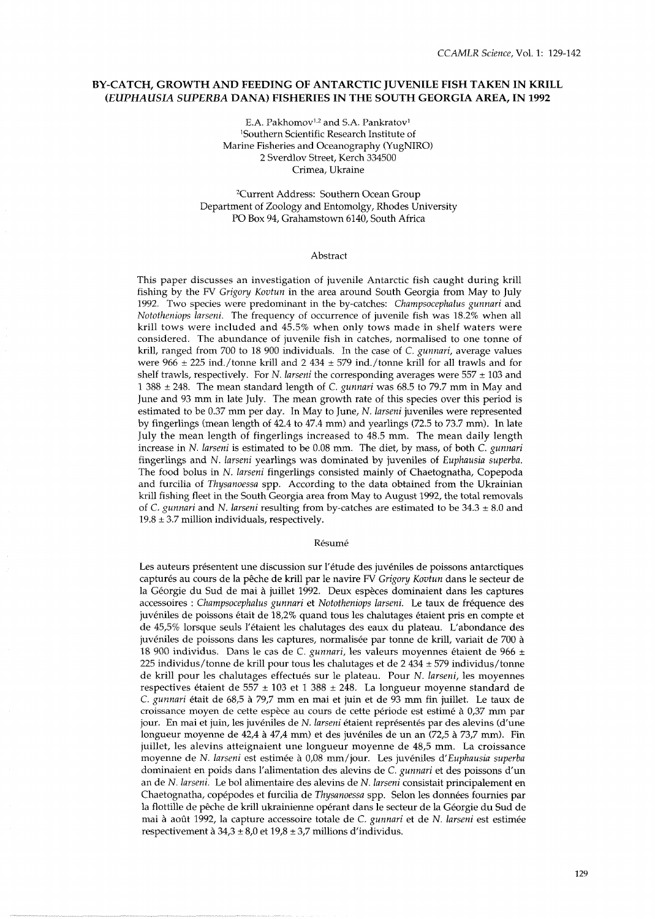# **BY-CATCH, GROWTH AND FEEDING OF ANTARCTIC JUVENILE FISH TAKEN IN KRILL**  *(EUPHAUSIA SUPERBA* **DANA) FISHERIES IN THE SOUTH GEORGIA AREA, IN 1992**

E.A. Pakhomov<sup>1,2</sup> and S.A. Pankratov<sup>1</sup> 'Southern Scientific Research Institute of Marine Fisheries and Oceanography (YugNIRO) 2 Sverdlov Street, Kerch 334500 Crimea. Ukraine

2Current Address: Southern Ocean Group Department of Zoology and Entomolgy, Rhodes University PO Box 94, Grahamstown 6140, South Africa

## Abstract

This paper discusses an investigation of juvenile Antarctic fish caught during krill fishing by the FV Grigory Kovtun in the area around South Georgia from May to July 1992. Two species were predominant in the by-catches: Champsocephalus gunnari and Nototheniops larseni. The frequency of occurrence of juvenile fish was 18.2% when all krill tows were included and 45.5% when only tows made in shelf waters were considered. The abundance of juvenile fish in catches, normalised to one tonne of krill, ranged from 700 to 18 900 individuals. In the case of C. gunnari, average values were 966  $\pm$  225 ind./tonne krill and 2 434  $\pm$  579 ind./tonne krill for all trawls and for shelf trawls, respectively. For N. larseni the corresponding averages were  $557 \pm 103$  and  $1388 \pm 248$ . The mean standard length of C. gunnari was 68.5 to 79.7 mm in May and June and 93 mm in late July. The mean growth rate of this species over this period is estimated to be 0.37 mm per day. In May to June, N. larseni juveniles were represented by fingerlings (mean length of 42.4 to 47.4 mm) and yearlings (72.5 to 73.7 mm). In late July the mean length of fingerlings increased to 48.5 mm. The mean daily length increase in N. larseni is estimated to be 0.08 mm. The diet, by mass, of both C. gunnari fingerlings and N. larseni yearlings was dominated by juveniles of Euphausia superba. The food bolus in N. larseni fingerlings consisted mainly of Chaetognatha, Copepoda and furcilia of Thysanoessa spp. According to the data obtained from the Ukrainian krill fishing fleet in the South Georgia area from May to August 1992, the total removals of C. gunnari and N. larseni resulting from by-catches are estimated to be  $34.3 \pm 8.0$  and  $19.8 \pm 3.7$  million individuals, respectively.

#### Résumé

Les auteurs présentent une discussion sur l'étude des juvéniles de poissons antarctiques capturés au cours de la pêche de krill par le navire FV Grigory Kovtun dans le secteur de la Géorgie du Sud de mai à juillet 1992. Deux espèces dominaient dans les captures accessoires : Champsocephalus gunnari et Nototheniops larseni. Le taux de frequence des juvéniles de poissons était de 18,2% quand tous les chalutages étaient pris en compte et de 45,5% lorsque seuls l'étaient les chalutages des eaux du plateau. L'abondance des juveniles de poissons dans les captures, normalisee par tonne de krill, variait de 700 a 18 900 individus. Dans le cas de C. gunnari, les valeurs moyennes étaient de 966  $\pm$ 225 individus/tonne de krill pour tous les chalutages et de 2 434 ± 579 individus/tonne de krill pour les chalutages effectués sur le plateau. Pour N. larseni, les moyennes respectives étaient de 557 ± 103 et 1 388 ± 248. La longueur moyenne standard de C. gunnari 6tait de 68,5 a 79,7 mm en mai et juin et de 93 mm fin juillet. Le taux de croissance moyen de cette espece au cours de cette periode est estime a 0,37 mm par jour. En mai et juin, les juvéniles de N. larseni étaient représentés par des alevins (d'une longueur moyenne de 42,4 à 47,4 mm) et des juvéniles de un an  $(72.5$  à  $73.7$  mm). Fin juillet, les alevins atteignaient une longueur moyenne de 48,5 mm. La croissance moyenne de N. larseni est estimée à 0,08 mm/jour. Les juvéniles d'Euphausia superba dominaient en poids dans l'alimentation des alevins de C. gunnari et des poissons d'un an de N. larseni. Le bol alimentaire des alevins de N. larseni consistait principalement en Chaetognatha, copépodes et furcilia de Thysanoessa spp. Selon les données fournies par la flottille de pêche de krill ukrainienne opérant dans le secteur de la Géorgie du Sud de mai à août 1992, la capture accessoire totale de C. gunnari et de N. larseni est estimée respectivement à  $34,3 \pm 8,0$  et  $19,8 \pm 3,7$  millions d'individus.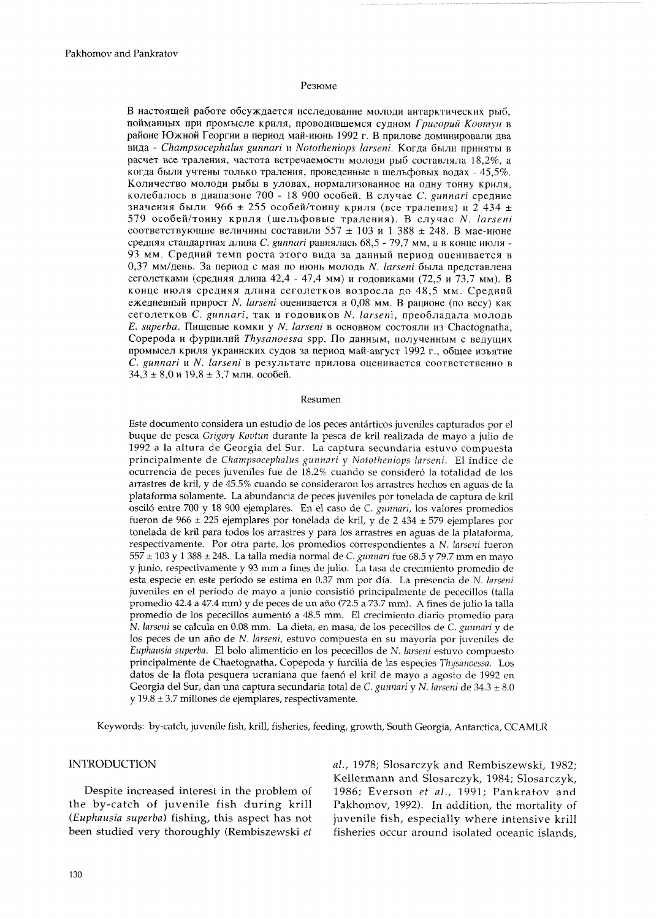## Резюме

В настоящей работе обсуждается исследование молоди антарктических рыб, ~O~~M~HH~IX npll IIpoMbICne KpHnX, IIpOBOAHBLUeMCX CYAHOM *~PUZOPUU Koomyn* <sup>B</sup> районе Южной Георгии в период май-июнь 1992 г. В прилове доминировали два вида - *Champsocephalus gunnari и Nototheniops larseni*. Когда были приняты в расчет все траления, частота встречаемости молоди рыб составляла 18,2%, а когда были учтены только траления, проведенные в шельфовых водах - 45,5%. Количество молоди рыбы в уловах, нормализованное на одну тонну криля, ~one6anocb B ~uanalo~e 700 - 18 900 oco6eii. B cnyqae *C. gunnari* cpenme значения были 966  $\pm$  255 особей/тонну криля (все траления) и 2 434  $\pm$ 579 особей/тонну криля (шельфовые траления). В случае N. *larseni* соответствующие величины составили 557  $\pm$  103 и 1 388  $\pm$  248. В мае-июне средняя стандартная длина *C, gunnari* равнялась 68,5 - 79,7 мм, а в конце июля -93 мм. Средний темп роста этого вида за данный период оценивается в 0,37 мм/день. За период с мая по июнь молодь N. *larseni* была представлена сеголетками (средняя длина 42,4 - 47,4 мм) и годовиками (72,5 и 73,7 мм). В конце июля средняя длина сеголетков возросла до 48,5 мм. Средний ежедневный прирост N. *larseni* оценивается в 0,08 мм. В рационе (по весу) как ceroneTKoe C. *gunnari,* TaK n rOAoBMKOB N. *larseni,* npeo6na~ana MonoAb *E. superba.* Пищевые комки у *N. larseni* в основном состояли из Chaetognatha, Copepoda и фурцилий *Thysanoessa* spp. По данным, полученным с ведущих промысел криля украинских судов за период май-август 1992 г., общее изъятие C. gunnari и N. larseni в результате прилова оценивается соответственно в  $34,3 \pm 8,0$  и 19,8  $\pm 3,7$  млн. особей.

## Resumen

Este documento considera un estudio de los peces antárticos juveniles capturados por el buque de pesca *Grigory Kovtun* durante la pesca de kril realizada de mayo a julio de 1992 a la altura de Georgia del Sur. La captura secundaria estuvo compuesta principalmente de *Champsocephalus gunnari* y *Nototheniops larseni.* El indice de ocurrencia de peces juveniles fue de 18.2% cuando se consideró la totalidad de los arrastres de kril, y de 45.5% cuando se consideraron 10s arrastres hechos en aguas de la plataforma solamente. La abundancia de peces juveniles por tonelada de captura de kril oscil6 entre 700 y 18 900 ejemplares. En el caso de C. *gunnaui,* 10s valores promedios fueron de 966  $\pm$  225 ejemplares por tonelada de kril, y de 2 434  $\pm$  579 ejemplares por tonelada de kril para todos 10s arrastres y para 10s arrastres en aguas de la plataforma, respectivamente. Por otra parte, 10s promedios correspondientes a N. *larseni* fueron 557 ± 103 y 1 388 ± 248. La talla media normal de C. *gunnari* fue 68.5 y 79.7 mm en mayo y junio, respectivamente y 93 mm a fines de julio. La tasa de crecimiento promedio de esta especie en este periodo se estima en 0.37 mm por dia. La presencia de *N. larseni*  juveniles en el periodo de mayo a junio consistio principalmente de pececillos (talla promedio 42.4 a 47.4 mm) y de peces de un afio (72.5 a 73.7 mm). A fines de julio la talla promedio de los pececillos aumentó a 48.5 mm. El crecimiento diario promedio para N. *lavseni* se calcula en 0.08 mm. La dieta, en masa, de 10s pececillos de C. *gunnari* y de los peces de un año de N. larseni, estuvo compuesta en su mayoría por juveniles de Euphausia superba. El bolo alimenticio en los pececillos de *N. larseni* estuvo compuesto principalmente de Chaetognatha, Copepoda y furcilia de las especies *Thysanoessa.* Los datos de la flota pesquera ucraniana que faeno el kril de mayo a agosto de 1992 en Georgia del Sur, dan una captura secundaria total de C. *gunnari* y *N. larseni* de 34.3 ± 8.0 y 19.8  $\pm$  3.7 millones de ejemplares, respectivamente.

Keywords: by-catch, juvenile fish, krill, fisheries, feeding, growth, South Georgia, Antarctica, CCAMLR

the by-catch of juvenile fish during krill Pakhomov, 1992). In addition, the mortality of (Euphausia superba) fishing, this aspect has not juvenile fish, especially where intensive krill been studied very thoroughly (Rembiszewski et fisheries occur around isolated oceanic islands,

INTRODUCTION al., 1978; Slosarczyk and Rembiszewski, 1982; Kellermann and Slosarczyk, 1984; Slosarczyk, Despite increased interest in the problem of 1986; Everson *et* al., 1991; Pankratov and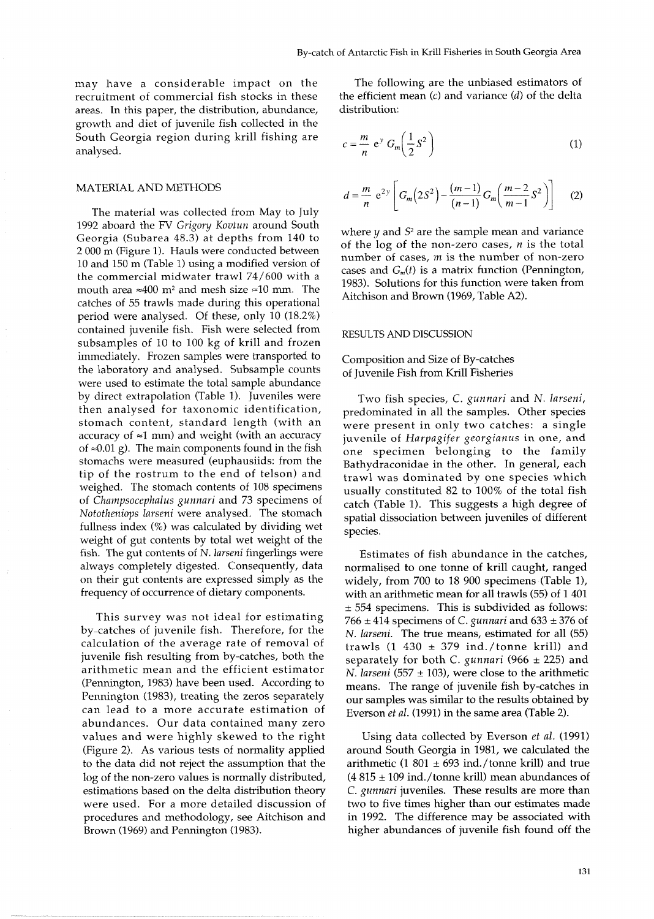recruitment of commercial fish stocks in these the efficient areas. In this paper the distribution abundance (distribution: areas. In this paper, the distribution, abundance, growth and diet of juvenile fish collected in the South Georgia region during krill fishing are *m*  growth and diet of juvenile fish collected in the<br>South Georgia region during krill fishing are  $c = \frac{m}{n} e^y G_m \left(\frac{1}{2}S^z\right)$ 

## MATERIAL AND METHODS

The material was collected from May to July 1992 aboard the FV *Grigory Kovtun* around South Georgia (Subarea 48.3) at depths from 140 to 2 000 m (Figure 1). Hauls were conducted between 10 and 150 m (Table 1) using a modified version of the commercial midwater trawl 74/600 with a mouth area  $\approx$ 400 m<sup>2</sup> and mesh size  $\approx$ 10 mm. The catches of 55 trawls made during this operational period were analysed. Of these, only 10 (18.2%) contained juvenile fish. Fish were selected from subsamples of 10 to 100 kg of krill and frozen immediately. Frozen samples were transported to the laboratory and analysed. Subsample counts were used to estimate the total sample abundance by direct extrapolation (Table 1). Juveniles were then analysed for taxonomic identification, stomach content, standard length (with an accuracy of  $\approx$ 1 mm) and weight (with an accuracy of  $\approx 0.01$  g). The main components found in the fish stomachs were measured (euphausiids: from the tip of the rostrum to the end of telson) and weighed. The stomach contents of 108 specimens of *Charnpsocephalus gunnari* and *73* specimens of *Nototheniops larseni* were analysed. The stomach fullness index (%) was calculated by dividing wet weight of gut contents by total wet weight of the fish. The gut contents of N. *larseni* fingerlings were always completely digested. Consequently, data on their gut contents are expressed simply as the frequency of occurrence of dietary components.

This survey was not ideal for estimating by-catches of juvenile fish. Therefore, for the calculation of the average rate of removal of juvenile fish resulting from by-catches, both the arithmetic mean and the efficient estimator (Pennington, 1983) have been used. According to Pennington (1983), treating the zeros separately can lead to a more accurate estimation of abundances. Our data contained many zero values and were highly skewed to the right (Figure 2). As various tests of normality applied to the data did not reject the assumption that the log of the non-zero values is normally distributed, estimations based on the delta distribution theory were used. For a more detailed discussion of procedures and methodology, see Aitchison and Brown (1969) and Pennington (1983).

may have a considerable impact on the The following are the unbiased estimators of recruitment of commercial fish stocks in these the efficient mean  $(c)$  and variance  $(d)$  of the delta

$$
c = \frac{m}{n} e^y G_m \left(\frac{1}{2} S^2\right)
$$
 (1)

$$
d = \frac{m}{n} e^{2y} \left[ G_m \left( 2S^2 \right) - \frac{(m-1)}{(n-1)} G_m \left( \frac{m-2}{m-1} S^2 \right) \right] \tag{2}
$$

where  $\psi$  and  $S^2$  are the sample mean and variance of the log of the non-zero cases, *n* is the total number of cases, m is the number of non-zero cases and  $G_m(t)$  is a matrix function (Pennington, 1983). Solutions for this function were taken from Aitchison and Brown (1969, Table A2).

#### RESULTS AND DISCUSSION

# Composition and Size of By-catches of Juvenile Fish from Krill Fisheries

Two fish species, *C. gunnari* and *N. larseni,*  predominated in all the samples. Other species were present in only two catches: a single juvenile of *Harpagifer georgianus* in one, and one specimen belonging to the family Bathydraconidae in the other. In general, each trawl was dominated by one species which usually constituted 82 to 100% of the total fish catch (Table 1). This suggests a high degree of spatial dissociation between juveniles of different species.

Estimates of fish abundance in the catches, normalised to one tonne of krill caught, ranged widely, from 700 to 18 900 specimens (Table l), with an arithmetic mean for all trawls (55) of 1 401  $± 554$  specimens. This is subdivided as follows:  $766 \pm 414$  specimens of *C. gunnari* and  $633 \pm 376$  of N. *larseni.* The true means, estimated for all (55) trawls (1 430  $\pm$  379 ind./tonne krill) and separately for both C. *gunnari* (966  $\pm$  225) and N. *larseni* (557  $\pm$  103), were close to the arithmetic means. The range of juvenile fish by-catches in our samples was similar to the results obtained by Everson *et al.* (1991) in the same area (Table 2).

Using data collected by Everson *et al.* (1991) around South Georgia in 1981, we calculated the arithmetic (1 801  $\pm$  693 ind./tonne krill) and true  $(4.815 \pm 109 \text{ ind.}/\text{tonne} \text{ krill})$  mean abundances of *C. gunnari* juveniles. These results are more than two to five times higher than our estimates made in 1992. The difference may be associated with higher abundances of juvenile fish found off the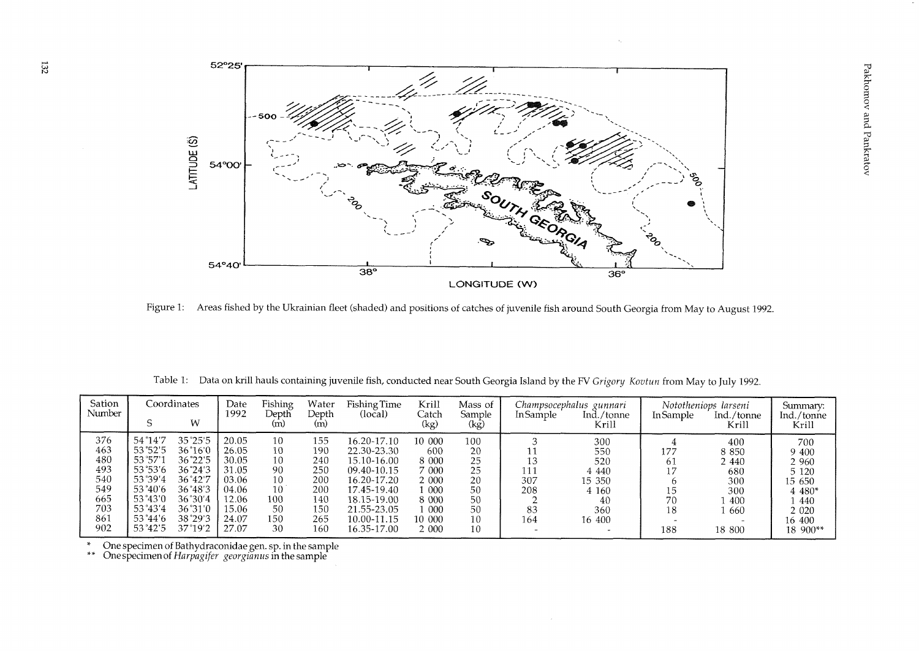

Figure 1: Areas fished by the Ukrainian fleet (shaded) and positions of catches of juvenile fish around South Georgia from May to August 1992.

|  |  | Table 1: Data on krill hauls containing juvenile fish, conducted near South Georgia Island by the FV Grigory Kovtun from May to July 1992. |  |  |  |  |  |
|--|--|--------------------------------------------------------------------------------------------------------------------------------------------|--|--|--|--|--|
|--|--|--------------------------------------------------------------------------------------------------------------------------------------------|--|--|--|--|--|

| Sation<br>Number |         | Coordinates<br>W | Date<br>1992 | Fishing<br>Depth<br>(m) | Water<br>Depth<br>(m) | Fishing Time<br>(local) | Krill<br>Catch<br>(kg) | Mass of<br>Sample<br>(kg) | In Sample | Champsocephalus gunnari<br>Ind./tonne<br>Krill | In Sample | Nototheniops larseni<br>Ind./tonne<br>Krill | Summary:<br>Ind./tonne<br>Krill |
|------------------|---------|------------------|--------------|-------------------------|-----------------------|-------------------------|------------------------|---------------------------|-----------|------------------------------------------------|-----------|---------------------------------------------|---------------------------------|
| 376              | 54°14'7 | $35^{\circ}25'5$ | 20.05        | 10                      | 155                   | 16.20-17.10             | 10 000                 | 100                       |           | 300                                            |           | 400                                         | 700                             |
| 463              | 53°52'5 | $36^{\circ}16'0$ | 26.05        | 10                      | 190                   | 22.30-23.30             | 600                    | 20                        |           | 550                                            | 177       | 8 8 5 0                                     | 9 400                           |
| 480              | 53°57'  | 36°22'5          | 30.05        | 10                      | 240                   | 15.10-16.00             | 8 000                  | 25                        |           | 520                                            | 61        | 2440                                        | 2 960                           |
| 493              | 53°53′6 | 36°24'3          | 31.05        | 90                      | 250                   | 09.40-10.15             | 7 000                  | 25                        | 111       | 4 4 4 4 0                                      | 17        | 680                                         | 5 1 2 0                         |
| 540              | 53°39'4 | 36°42'7          | -03.06       | 10                      | 200                   | 16.20-17.20             | 2 000                  | 20                        | 307       | 15 350                                         |           | 300                                         | 15 650                          |
| 549              | 53°40′6 | 36°48'3          | 04.06        | 10                      | 200                   | 17.45-19.40             | l 000                  | 50                        | 208       | 4 160                                          | 15        | 300                                         | 4 480*                          |
| 665              | 53°43′0 | 36°30'4          | 12.06        | 100                     | 140                   | 18.15-19.00             | 8 0 0 0                | 50                        |           | 40                                             | 70        | 400                                         | 440                             |
| 703              | 53°43′4 | 36°31′0          | 15.06        | 50                      | 150                   | 21.55-23.05             | - 000                  | 50                        | 83        | 360                                            | 18        | -660                                        | 2 0 2 0                         |
| 861              | 53°44′6 | 38°29'3          | 24.07        | 150                     | 265                   | 10.00-11.15             | 10 000                 | 10                        | 164       | 16 400                                         |           |                                             | 16 400                          |
| 902              | 53°42'5 | 37°19'2          | 27.07        | 30                      | 160                   | 16.35-17.00             | 2 000                  | 10                        |           |                                                | 188       | 18 800                                      | 18 900**                        |

\* One specimen of Bathydraconidae gen. sp. in the sample \*\* Onespecimenof *Hnrpagifev georginnus* in the sample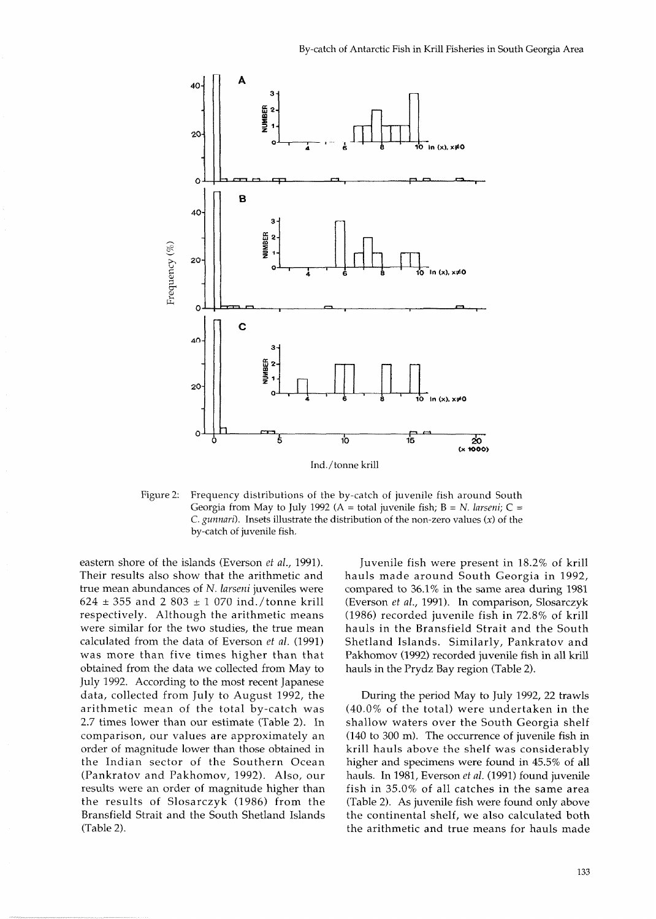

Figure 2: Frequency distributions of the by-catch of juvenile fish around South Georgia from May to July 1992 (A = total juvenile fish; B = N. *larseni*; C = *C. gunnari).* Insets illustrate the distribution of the non-zero values **(X)** of the by-catch of juvenile fish.

eastern shore of the islands (Everson *et al.,* 1991). Their results also show that the arithmetic and true mean abundances of N. *lavseni* juveniles were 624 355 and 2 803 **t** l 070 ind./tonne krill respectively. Although the arithmetic means were similar for the two studies, the true mean calculated from the data of Everson *et al.* (1991) was more than five times higher than that obtained from the data we collected from May to July 1992. According to the most recent Japanese data, collected from July to August 1992, the arithmetic mean of the total by-catch was 2.7 times lower than our estimate (Table 2). In comparison, our values are approximately an order of magnitude lower than those obtained in the Indian sector of the Southern Ocean (Pankratov and Pakhomov, 1992). Also, our results were an order of magnitude higher than the results of Slosarczyk (1986) from the Bransfield Strait and the South Shetland Islands (Table 2).

Juvenile fish were present in 18.2% of krill hauls made around South Georgia in 1992, compared to 36.1% in the same area during 1981 (Everson *et al.,* 1991). In comparison, Slosarczyk (1986) recorded juvenile fish in 72.8% of krill hauls in the Bransfield Strait and the South Shetland Islands. Similarly, Pankratov and Pakhomov (1992) recorded juvenile fish in all krill hauls in the Prydz Bay region (Table 2).

During the period May to July 1992, 22 trawls (40.0% of the total) were undertaken in the shallow waters over the South Georgia shelf (140 to 300 m). The occurrence of juvenile fish in krill hauls above the shelf was considerably higher and specimens were found in 45.5% of all hauls. In 1981, Everson *et al.* (1991) found juvenile fish in 35.0% of all catches in the same area (Table 2). As juvenile fish were found only above the continental shelf, we also calculated both the arithmetic and true means for hauls made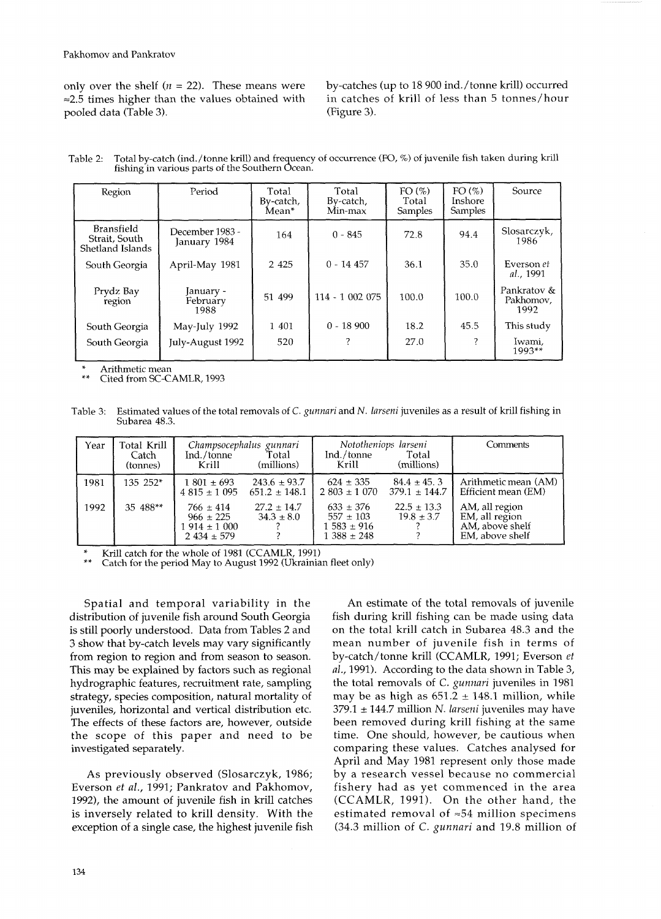only over the shelf ( $n = 22$ ). These means were by-catches (up to 18 900 ind./tonne krill) occurred  $\approx$  2.5 times higher than the values obtained with in catches of krill of less than 5 tonnes/hour pooled data (Table 3). (Figure 3).

| fishing in various parts of the Southern Ocean. |  | Table 2: Total by-catch (ind./tonne krill) and frequency of occurrence (FO, %) of juvenile fish taken during krill |  |
|-------------------------------------------------|--|--------------------------------------------------------------------------------------------------------------------|--|
|-------------------------------------------------|--|--------------------------------------------------------------------------------------------------------------------|--|

| Region                                                 | Period                          | Total<br>By-catch.<br>Mean* | Total<br>By-catch,<br>Min-max | FO(%)<br>Total<br>Samples | FO(%)<br>Inshore<br>Samples | Source                           |
|--------------------------------------------------------|---------------------------------|-----------------------------|-------------------------------|---------------------------|-----------------------------|----------------------------------|
| <b>Bransfield</b><br>Strait, South<br>Shetland Islands | December 1983 -<br>January 1984 | 164                         | $0 - 845$                     | 72.8                      | 94.4                        | Slosarczyk,<br>1986              |
| South Georgia                                          | April-May 1981                  | 2 4 2 5                     | $0 - 14457$                   | 36.1                      | 35.0                        | Everson et<br>al., 1991          |
| Prydz Bay<br>region                                    | January -<br>February<br>1988   | 51 499                      | 114 - 1 002 075               | 100.0                     | 100.0                       | Pankratov &<br>Pakhomov.<br>1992 |
| South Georgia                                          | May-July 1992                   | 1 401                       | $0 - 18900$                   | 18.2                      | 45.5                        | This study                       |
| South Georgia                                          | July-August 1992                | 520                         |                               | 27.0                      | ?                           | Iwami,<br>$1993**$               |

Arithmetic mean

Cited from SC-CAMLR, 1993

Table 3: Estimated values of the total removals of C. gunnari and N. larseni juveniles as a result of krill fishing in Subarea 48.3.

| Year | Total Krill<br>Catch<br>(tonnes) | Ind./tonne<br>Krill                                                 | Champsocephalus gunnari<br>Total<br>(millions) | Ind./tonne<br>Krill                                                 | Nototheniops larseni<br>Total<br>(millions) | Comments                                                               |
|------|----------------------------------|---------------------------------------------------------------------|------------------------------------------------|---------------------------------------------------------------------|---------------------------------------------|------------------------------------------------------------------------|
| 1981 | $135 \t252^*$                    | $1801 \pm 693$<br>$4.815 \pm 1.095$                                 | $243.6 \pm 93.7$<br>$651.2 \pm 148.1$          | $624 \pm 335$<br>$2.803 \pm 1.070$                                  | $84.4 \pm 45.3$<br>$379.1 \pm 144.7$        | Arithmetic mean (AM)<br>Efficient mean (EM)                            |
| 1992 | 35 488**                         | $766 \pm 414$<br>$966 \pm 225$<br>$1914 \pm 1000$<br>$2434 \pm 579$ | $27.2 \pm 14.7$<br>$34.3 \pm 8.0$              | $633 \pm 376$<br>$557 \pm 103$<br>$1583 \pm 916$<br>$1.388 \pm 248$ | $22.5 \pm 13.3$<br>$19.8 \pm 3.7$           | AM, all region<br>EM, all region<br>AM, above shelf<br>EM, above shelf |

Krill catch for the whole of 1981 (CCAMLR, 1991)<br>Catch for the period May to August 1992 (Ukrainian fleet only)

Spatial and temporal variability in the distribution of juvenile fish around South Georgia is still poorly understood. Data from Tables 2 and **3** show that by-catch levels may vary significantly from region to region and from season to season. This may be explained by factors such as regional hydrographic features, recruitment rate, sampling strategy, species composition, natural mortality of juveniles, horizontal and vertical distribution etc. The effects of these factors are, however, outside the scope of this paper and need to be investigated separately.

As previously observed (Slosarczyk, 1986; Everson *et* al., 1991; Pankratov and Pakhomov, 1992), the amount of juvenile fish in krill catches is inversely related to krill density. With the exception of a single case, the highest juvenile fish

An estimate of the total removals of juvenile fish during krill fishing can be made using data on the total krill catch in Subarea 48.3 and the mean number of juvenile fish in terms of by-catch/tonne krill (CCAMLR, 1991; Everson *et*  al., 1991). According to the data shown in Table **3,**  the total removals of C. gunnari juveniles in 1981 may be as high as  $651.2 \pm 148.1$  million, while 379.1 **4** 144.7 million N. larseni juveniles may have been removed during krill fishing at the same time. One should, however, be cautious when comparing these values. Catches analysed for April and May 1981 represent only those made by a research vessel because no commercial fishery had as yet commenced in the area (CCAMLR, 1991). On the other hand, the estimated removal of **=54** million specimens (34.3 million of C. gunnari and 19.8 million of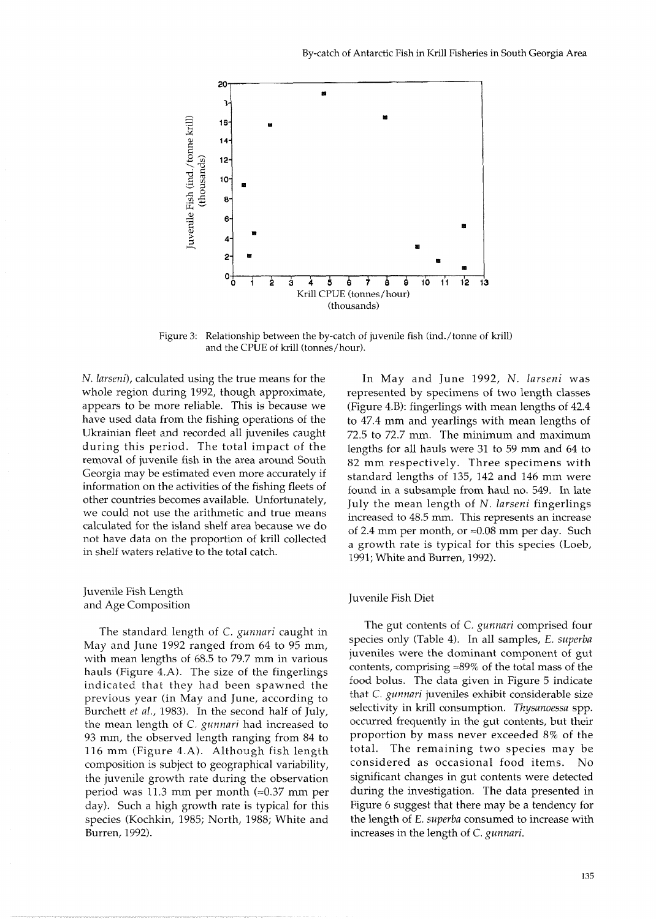

Figure 3: Relationship between the by-catch of juvenile fish (ind./tonne of krill) and the CPUE of krill (tonnes/hour).

*N. larseni),* calculated using the true means for the whole region during 1992, though approximate, appears to be more reliable. This is because we have used data from the fishing operations of the Ukrainian fleet and recorded all juveniles caught during this period. The total impact of the removal of juvenile fish in the area around South Georgia may be estimated even more accurately if information on the activities of the fishing fleets of other countries becomes available. Unfortunately, we could not use the arithmetic and true means calculated for the island shelf area because we do not have data on the proportion of krill collected in shelf waters relative to the total catch.

Juvenile Fish Length and Age Composition

The standard length of C. *gunnari* caught in May and June 1992 ranged from 64 to 95 mm, with mean lengths of 68.5 to 79.7 mm in various hauls (Figure 4.A). The size of the fingerlings indicated that they had been spawned the previous year (in May and June, according to Burchett *et al.,* 1983). In the second half of July, the mean length of C. *gunnari* had increased to 93 mm, the observed length ranging from 84 to 116 mm (Figure 4.A). Although fish length composition is subject to geographical variability, the juvenile growth rate during the observation period was 11.3 mm per month  $(\approx 0.37$  mm per day). Such a high growth rate is typical for this species (Kochkin, 1985; North, 1988; White and Burren, 1992).

In May and June 1992, N. *larseni* was represented by specimens of two length classes (Figure 4.B): fingerlings with mean lengths of 42.4 to 47.4 mm and yearlings with mean lengths of 72.5 to 72.7 mm. The minimum and maximum lengths for all hauls were 31 to 59 mm and 64 to 82 mm respectively. Three specimens with standard lengths of 135, 142 and 146 mm were found in a subsample from haul no. 549. In late July the mean length of N. *larseni* fingerlings increased to 48.5 mm. This represents an increase of 2.4 mm per month, or  $\approx 0.08$  mm per day. Such a growth rate is typical for this species (Loeb, 1991; White and Burren, 1992).

## Juvenile Fish Diet

The gut contents of C. *gunnari* comprised four species only (Table 4). In all samples, E. *superba*  juveniles were the dominant component of gut contents, comprising  $\approx 89\%$  of the total mass of the food bolus. The data given in Figure 5 indicate that C. *gunnari* juveniles exhibit considerable size selectivity in krill consumption. *Tkysanoessa* spp. occurred frequently in the gut contents, but their proportion by mass never exceeded 8% of the total. The remaining two species may be considered as occasional food items. No significant changes in gut contents were detected during the investigation. The data presented in Figure 6 suggest that there may be a tendency for the length of E. *superba* consumed to increase with increases in the length of C. *gunnari.*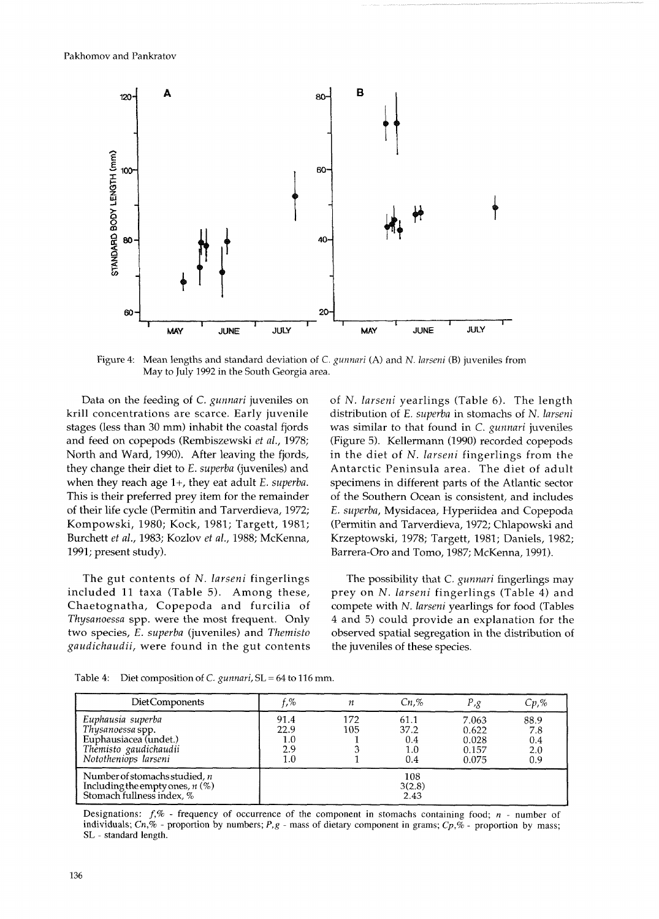

Figure 4: Mean lengths and standard deviation of C. *gunnari* (A) and *N. larseni* (B) juveniles from May to July 1992 in the South Georgia area.

Data on the feeding of C. *gunnari* juveniles on krill concentrations are scarce. Early juvenile stages (less than 30 mm) inhabit the coastal fjords and feed on copepods (Rembiszewski *et al.,* 1978; North and Ward, 1990). After leaving the fjords, they change their diet to E. *superba* (juveniles) and when they reach age l+, they eat adult E. *superba.*  This is their preferred prey item for the remainder of their life cycle (Permitin and Tarverdieva, 1972; Kompowski, 1980; Kock, 1981; Targett, 1981; Burchett *et al.,* 1983; Kozlov *et al.,* 1988; McKenna, 1991; present study).

The gut contents of N. *larseni* fingerlings The possibility that C. *gunnari* fingerlings may *gaudichaudii,* were found in the gut contents the juveniles of these species.

of N. *larseni* yearlings (Table *6).* The length distribution of E. *superba* in stomachs of N. *larseni*  was similar to that found in C. *gunnari* juveniles (Figure 5). Kellermann (1990) recorded copepods in the diet of N. larseni fingerlings from the Antarctic Peninsula area. The diet of adult specimens in different parts of the Atlantic sector of the Southern Ocean is consistent, and includes E. *superba,* Mysidacea, Hyperiidea and Copepoda (Permitin and Tarverdieva, 1972; Chlapowski and Krzeptowski, 1978; Targett, 1981; Daniels, 1982; Barrera-Oro and Tomo, 1987; McKenna, 1991).

included 11 taxa (Table 5). Among these, prey on N. *larseni* fingerlings (Table *4)* and Chaetognatha, Copepoda and furcilia of compete with N. *larseni* yearlings for food (Tables *Thysanoessa* spp. were the most frequent. Only 4 and 5) could provide an explanation for the two species, E. *superba* (juveniles) and *Themisto* observed spatial segregation in the distribution of

| DietComponents                                                                                                  | f,%                                   | п          | $Cn$ .%                           | P,g                                       | $Cp,\%$                          |
|-----------------------------------------------------------------------------------------------------------------|---------------------------------------|------------|-----------------------------------|-------------------------------------------|----------------------------------|
| Euphausia superba<br>Thysanoessa spp.<br>Euphausiacea (undet.)<br>Themisto gaudichaudii<br>Nototheniops larseni | 91.4<br>22.9<br>$1.0\,$<br>2.9<br>1.0 | 172<br>105 | 61.1<br>37.2<br>0.4<br>1.0<br>0.4 | 7.063<br>0.622<br>0.028<br>0.157<br>0.075 | 88.9<br>7.8<br>0.4<br>2.0<br>0.9 |
| Number of stomachs studied, $n$<br>Including the empty ones, $n$ (%)<br>Stomach fullness index, %               |                                       |            | 108<br>3(2.8)<br>2.43             |                                           |                                  |

Table 4: Diet composition of *C. gunnari,* SL = 64 to 116 mm.

Designations:  $f, \%$  - frequency of occurrence of the component in stomachs containing food;  $n$  - number of individuals;  $C_n$ ,  $\%$  - proportion by numbers; P, g - mass of dietary component in grams;  $C_p$ ,  $\%$  - proportion by mass; SL - standard length.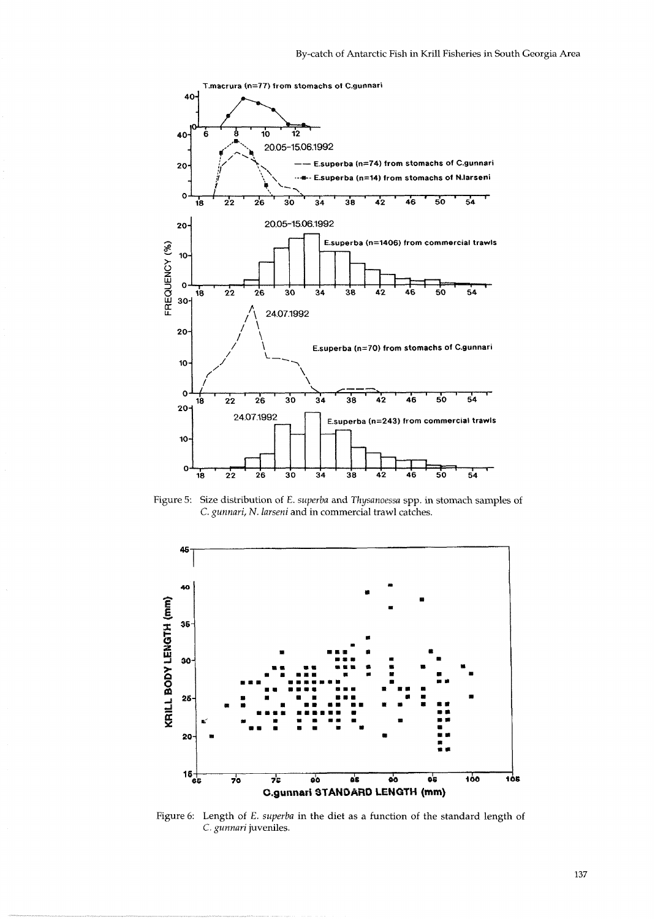

Figure 5: Size distribution of E. *superba* and *Thysanoessa* spp. in stomach samples of C. *gunnari,* N. *larseni* and in commercial trawl catches.



Figure 6: Length of E. *superba* in the diet as a function of the standard length of C. *gunnari* juveniles.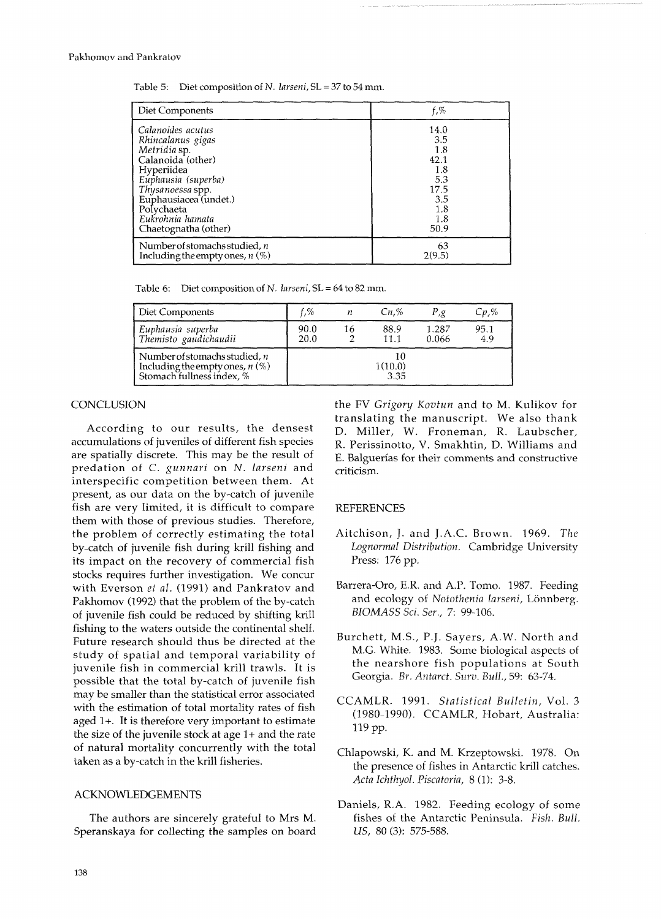Table 5: Diet composition of N. larseni, SL = *37* to 54 mm.

| Diet Components                   | $f, \%$ |
|-----------------------------------|---------|
| Calanoides acutus                 | 14.0    |
| Rhincalanus gigas                 | 3.5     |
| Metridia sp.                      | 1.8     |
| Calanoida (other)                 | 42.1    |
| Hyperiidea                        | 1.8     |
| Euphausia (superba)               | 5.3     |
| Thysanoessa spp.                  | 17.5    |
| Euphausiacea (undet.)             | 3.5     |
| Polychaeta                        | 1.8     |
| Eukrohnia hamata                  | 1.8     |
| Chaetognatha (other)              | 50.9    |
| Number of stomachs studied, n     | 63      |
| Including the empty ones, $n$ (%) | 2(9.5)  |

Table 6: Diet composition of N. larseni, SL = 64 to 82 mm.

| Diet Components                                                                                   | f.%          | п  | $Cn$ .%               | P, g           | $Cp, \%$    |
|---------------------------------------------------------------------------------------------------|--------------|----|-----------------------|----------------|-------------|
| Euphausia superba<br>Themisto gaudichaudii                                                        | 90.0<br>20.0 | 16 | 88.9<br>11.1          | 1.287<br>0.066 | 95.1<br>4.9 |
| Number of stomachs studied, $n$<br>Including the empty ones, $n$ (%)<br>Stomach fullness index, % |              |    | 10<br>1(10.0)<br>3.35 |                |             |

## **CONCLUSION**

According to our results, the densest accumulations of juveniles of different fish species are spatially discrete. This may be the result of predation of C. *gunnari* on *N. larseni* and interspecific competition between them. At present, as our data on the by-catch of juvenile fish are very limited, it is difficult to compare them with those of previous studies. Therefore, the problem of correctly estimating the total by-catch of juvenile fish during krill fishing and its impact on the recovery of commercial fish stocks requires further investigation. We concur with Everson *et al.* (1991) and Pankratov and Pakhomov (1992) that the problem of the by-catch of juvenile fish could be reduced by shifting krill fishing to the waters outside the continental shelf. Future research should thus be directed at the study of spatial and temporal variability of juvenile fish in commercial krill trawls. It is possible that the total by-catch of juvenile fish may be smaller than the statistical error associated with the estimation of total mortality rates of fish aged l+. It is therefore very important to estimate the size of the juvenile stock at age 1+ and the rate of natural mortality concurrently with the total taken as a by-catch in the krill fisheries.

## ACKNOWLEDGEMENTS

The authors are sincerely grateful to Mrs M. Speranskaya for collecting the samples on board the FV *Grigory Kovtun* and to *M.* Kulikov for translating the manuscript. We also thank D. Miller, W. Froneman, R. Laubscher, R. Perissinotto, V. Smakhtin, D. Williams and E. Balguerias for their comments and constructive criticism.

## REFERENCES

- Aitchison, J. and J.A.C. Brown. 1969. *The Lognormal Distribution.* Cambridge University Press: 176 pp.
- Barrera-Oro, E.R. and A.P. Tomo. 1987. Feeding and ecology of Notothenia larseni, Lönnberg. *BIOMASS Sci. Ser.,* 7: 99-106.
- Burchett, M.S., P.J. Sayers, A.W. North and M.G. White. 1983. Some biological aspects of the nearshore fish populations at South Georgia. *Br. Antarct. Surv. Bull.,* 59: 63-74.
- CCAMLR. 1991. *Statistical Bulletin,* Vol. 3 (1980-1990). CCAMLR, Hobart, Australia: 119 pp.
- Chlapowski, K. and M. Krzeptowski. 1978. On the presence of fishes in Antarctic krill catches. *Acta Ichthyol. Piscatoria,* 8 (1): 3-8.
- Daniels, R.A. 1982. Feeding ecology of some fishes of the Antarctic Peninsula. *Fish. Bull. US, 80* **(3):** 575-588.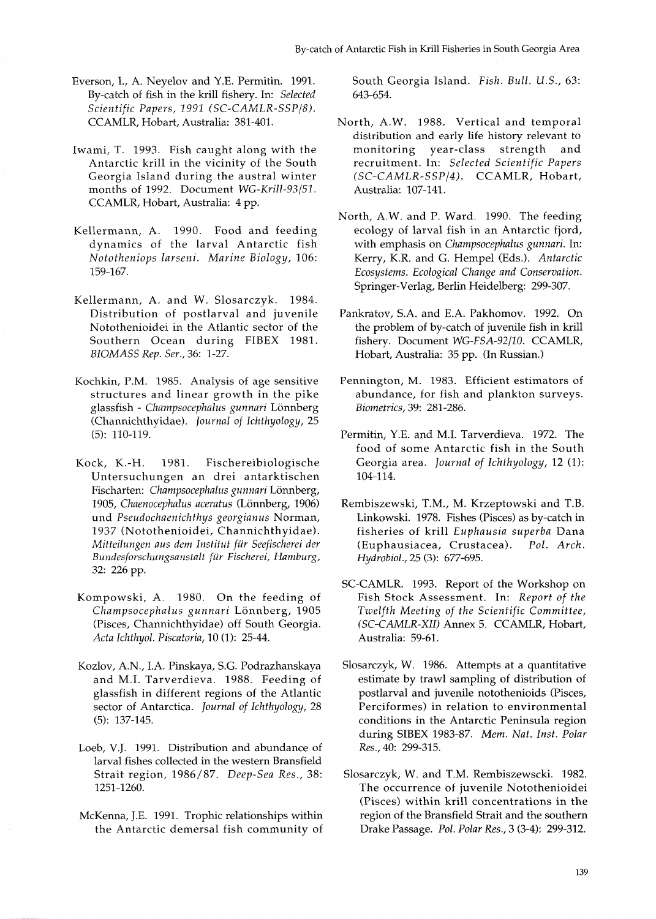- Everson, I., A. Neyelov and Y.E. Permitin. 1991. By-catch of fish in the krill fishery. In: *Selected Scientific Papers, 1991 (SC-CAMLR-SSPI8).*  CCAMLR, Hobart, Australia: 381-401.
- Iwami, T. 1993. Fish caught along with the Antarctic krill in the vicinity of the South Georgia Island during the austral winter months of 1992. Document *WG-Krill-93/51.*  CCAMLR, Hobart, Australia: 4 pp.
- Kellermann, A. 1990. Food and feeding dynamics of the larval Antarctic fish *Nototheniops larseni. Marine Biology,* 106: 159-167.
- Kellermann, A. and W. Slosarczyk. 1984. Distribution of postlarval and juvenile Notothenioidei in the Atlantic sector of the Southern Ocean during FIBEX 1981. *BIOMASS Rep. Ser.,* 36: 1-27.
- Kochkin, P.M. 1985. Analysis of age sensitive structures and linear growth in the pike glassfish - *Champsocephalus gunnari* Lonnberg (Channichthyidae). *Journal of Ichthyology,* 25 (5): 110-119.
- Kock, K.-H. 1981. Fischereibiologische Untersuchungen an drei antarktischen Fischarten: *Champsocephalus gunnari* Lönnberg, 1905, *Chaenocephalus aceratus* (Lönnberg, 1906) und *Pseudochaenichthys georgianus* Norman, 1937 (Notothenioidei, Channichthyidae). *Mifteilungen aus dem Institut fir Seefischerei der Bundesforschungsanstalt fur Fischerei, Hamburg,*  32: 226 pp.
- Kompowski, A. 1980. On the feeding of *Champsocephalus gunnari* Lonnberg, 1905 (Pisces, Channichthyidae) off South Georgia. *Acta Ichthyol. Piscatoria,* 10 (1): 25-44.
- Kozlov, A.N., I.A. Pinskaya, S.G. Podrazhanskaya and M.I. Tarverdieva. 1988. Feeding of glassfish in different regions of the Atlantic sector of Antarctica. *Journal of Ichthyology,* 28 (5): 137-145.
- Loeb, V.J. 1991. Distribution and abundance of larval fishes collected in the western Bransfield Strait region, 1986/87. *Deep-Sea Res.,* 38: 1251-1260.
- McKenna, J.E. 1991. Trophic relationships within the Antarctic demersal fish community of

South Georgia Island. *Fish. Bull. U.S.,* 63: 643-654.

- North, A.W. 1988. Vertical and temporal distribution and early life history relevant to<br>monitoring vear-class strength and monitoring year-class strength and recruitment. In: *Selected Scientific Papers (SC-CAMLR-SSPI4).* CCAMLR, Hobart, Australia: 107-141.
- North, A.W. and P. Ward. 1990. The feeding ecology of larval fish in an Antarctic fjord, with emphasis on *Champsocephalus gunnari.* In: Kerry, K.R. and G. Hempel (Eds.). *Antarctic Ecosystems. Ecological Change and Conservation.*  Springer-Verlag, Berlin Heidelberg: 299-307.
- Pankratov, S.A. and E.A. Pakhomov. 1992. On the problem of by-catch of juvenile fish in krill fishery. Document *WG-FSA-92/10.* CCAMLR, Hobart, Australia: 35 pp. (In Russian.)
- Pennington, M. 1983. Efficient estimators of abundance, for fish and plankton surveys. *Biometrics,* 39: 281-286.
- Permitin, Y.E. and M.I. Tarverdieva. 1972. The food of some Antarctic fish in the South Georgia area. *Journal of Ichthyology,* 12 (l): 104-1 14.
- Rembiszewski, T.M., M. Krzeptowski and T.B. Linkowski. 1978. Fishes (Pisces) as by-catch in fisheries of krill *Euphausia superba* Dana (Euphausiacea, Crustacea). *Pol. Arch. Hydrobiol.,* 25 *(3):* 677-695.
- SC-CAMLR. 1993. Report of the Workshop on Fish Stock Assessment. In: *Report of the Twelfth Meeting of the Scientific Committee, (SC-CAMLR-XII)* Annex 5. CCAMLR, Hobart, Australia: 59-61.
- Slosarczyk, W. 1986. Attempts at a quantitative estimate by trawl sampling of distribution of postlarval and juvenile notothenioids (Pisces, Perciformes) in relation to environmental conditions in the Antarctic Peninsula region during SIBEX 1983-87. *Mem. Nut. Inst. Polar Res.,* 40: 299-315.
- Slosarczyk, W. and T.M. Rembiszewscki. 1982. The occurrence of juvenile Notothenioidei (Pisces) within krill concentrations in the region of the Bransfield Strait and the southern Drake Passage. *Pol. Polar Res.,* 3 (3-4): 299-312.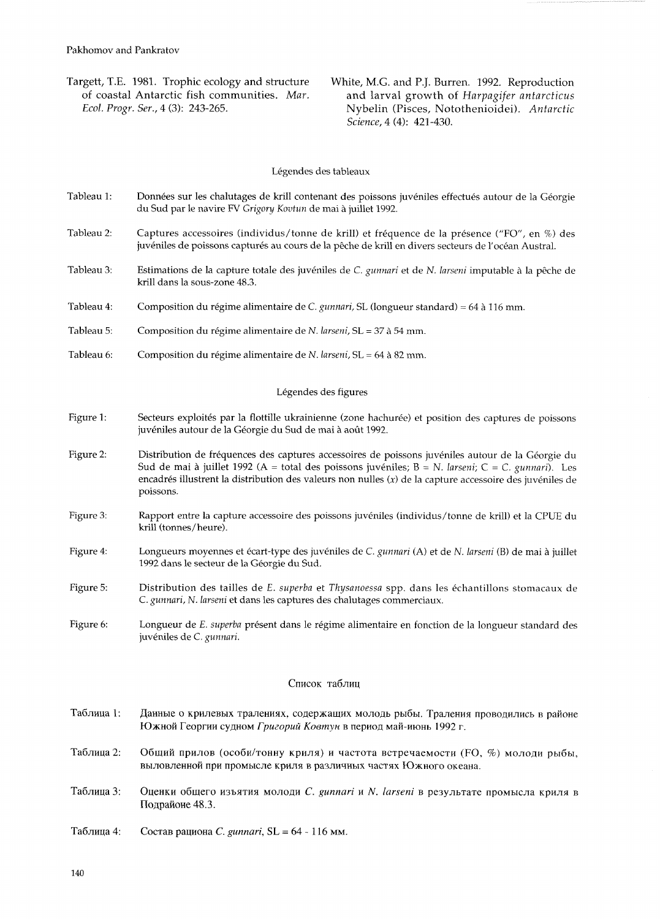Targett, T.E. 1981. Trophic ecology and structure White, M.G. and P.J. Burren. 1992. Reproduction<br>of coastal Antarctic fish communities. Mar. and larval growth of Harpagifer antarcticus of coastal Antarctic fish communities. *Mar.* and larval growth of *Harpagifer antarcticus Ecol. Progr. Ser.,* 4 (3): 243-265. Nybelin (Pisces, Notothenioidei). *Antarctic Science,* 4 (4): 421-430.

## Légendes des tableaux

- Tableau 1: Données sur les chalutages de krill contenant des poissons juvéniles effectués autour de la Géorgie du Sud par le navire FV *Grigory Kovtun* de mai *B* juillet 1992.
- Tableau 2: Captures accessoires (individus/tonne de krill) et frequence de la presence ("FO", en %) des juvéniles de poissons capturés au cours de la pêche de krill en divers secteurs de l'océan Austral.
- Tableau **3:** Estimations de la capture totale des juveniles de C. *gunnari* et de *N. larseni* imputable *B* la p6che de krill dans la sous-zone 48.3.
- Tableau 4: Composition du régime alimentaire de C. *gunnari*, SL (longueur standard) = 64 à 116 mm.
- Tableau 5: Composition du régime alimentaire de *N. larseni*, SL = 37 à 54 mm.
- Tableau 6: Composition du régime alimentaire de N. *larseni*, SL = 64 à 82 mm.

## Légendes des figures

- Figure 1: Secteurs exploités par la flottille ukrainienne (zone hachurée) et position des captures de poissons juvéniles autour de la Géorgie du Sud de mai à août 1992.
- Figure 2: Distribution de fréquences des captures accessoires de poissons juvéniles autour de la Géorgie du Sud de mai a juillet 1992 (A = total des poissons juveniles; B = N. *lauseni; C* = *C. gunnari).* Les encadrés illustrent la distribution des valeurs non nulles (x) de la capture accessoire des juvéniles de poissons.
- Figure 3: Rapport entre la capture accessoire des poissons juveniles (individus/tonne de krill) et 1a CPUE du krill (tonnes/heure).
- Figure 4: Longueurs moyennes et écart-type des juvéniles de C. *gunnari* (A) et de N. *larseni* (B) de mai à juillet 1992 dans le secteur de la Georgie du Sud.
- Figure 5: Distribution des tailles de E. superba et *Thysanoessa* spp. dans les échantillons stomacaux de C. *gunnari,* N. *larseni* et dans les captures des chalutages commerciaux.
- Figure 6: Longueur de E. *superba* present dans le regime alimentaire en fonction de la longueur standard des juveniles de C. *gunnari.*

## Список таблиц

- Таблица 1: Данные о крилевых тралениях, содержащих молодь рыбы. Траления проводились в районе Южной Георгии судном Григорий Ковтун в период май-июнь 1992 г.
- Таблица 2: Общий прилов (особи/тонну криля) и частота встречаемости (FO, %) молоди рыбы, выловленной при промысле криля в различных частях Южного океана.
- Таблица 3: Оценки общего изъятия молоди *С. gunnari и N. larseni* в результате промысла криля в Подрайоне 48.3.

TaGn~qa 4: Coc~as paqlioHa C. *gunnari,* SL = *64* - 116 MM.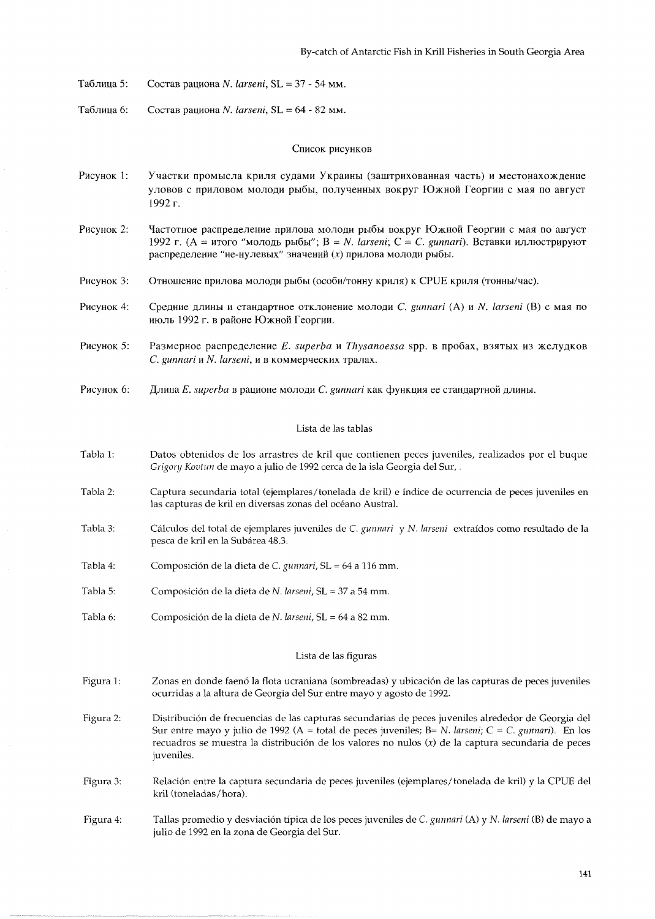- Ta6n~qa *5:* Coc~as paquoea N. *larseni,* SL = *37*  54 MM.
- Ta6n~ua 6: Coc~as paquoHa N. *larseni,* SL = 64 82 MM.

## Список рисунков

- Рисунок 1: Участки промысла криля судами Украины (заштрихованная часть) и местонахождение уловов с приловом молоди рыбы, полученных вокруг Южной Георгии с мая по август 1992 г.
- Pисунок 2: Частотное распределение прилова молоди рыбы вокруг Южной Георгии с мая по август 1992 г. (А = итого "молодь рыбы"; B = N. *larseni*; C = *C. gunnari*). Вставки иллюстрируют распределение "не-нулевых" значений  $(x)$  прилова молоди рыбы.
- Рисунок 3: Отношение прилова молоди рыбы (особи/тонну криля) к CPUE криля (тонны/час).
- Pисунок 4: Средние длины и стандартное отклонение молоди *C. gunnari* (A) и N. *larseni* (B) с мая по июль 1992 г. в районе Южной Георгии.
- Pисунок 5: Размерное распределение *E. superba и Thysanoessa* spp. в пробах, взятых из желудков C. *gunnari* **H** *N. larseni,* M *B* KoMMepYecKMx Tpanax.
- Pисунок 6: Длина *E. superba* в рационе молоди *C. gunnari* как функция ее стандартной длины.

## Lista de las tablas

- Tabla l: Datos obtenidos de 10s arrastres de kril que contienen peces juveniles, realizados por el buque Grigory Kovtun de may0 a julio de 1992 cerca de la isla Georgia del Sur, .
- Tabla 2: Captura secundaria total (ejemplares/tonelada de kril) e indice de ocurrencia de peces juveniles en las capturas de kril en diversas zonas del océano Austral.
- Tabla 3: Cálculos del total de ejemplares juveniles de C. gunnari y N. larseni extraídos como resultado de la pesca de kril en la Subarea 48.3.
- Tabla 4: Composición de la dieta de C. gunnari, SL = 64 a 116 mm.
- Tabla 5: Composición de la dieta de N. larseni, SL = 37 a 54 mm.
- Tabla 6: Composición de la dieta de N. larseni, SL = 64 a 82 mm.

#### Lista de las figuras

- Figura l: Zonas en donde faenó la flota ucraniana (sombreadas) y ubicación de las capturas de peces juveniles ocurridas a la altura de Georgia del Sur entre may0 y agosto de 1992.
- Figura 2: Distribucion de frecuencias de las capturas secundarias de peces juveniles alrededor de Georgia del Sur entre mayo y julio de 1992 (A = total de peces juveniles; B= N. larseni; C = C. gunnari). En los recuadros se muestra la distribucion de 10s valores no nulos **(X)** de la captura secundaria de peces juveniles.
- Figura 3: Relacion entre la captura secundaria de peces juveniles (ejemplares/tonelada de kril) y la CPUE del kril (toneladas/hora).
- Figura 4: Tallas promedio y desviacion tipica de 10s peces juveniles de C. gunnari (A) y N. larseni (B) de mayo a julio de 1992 en la zona de Georgia del Sur.